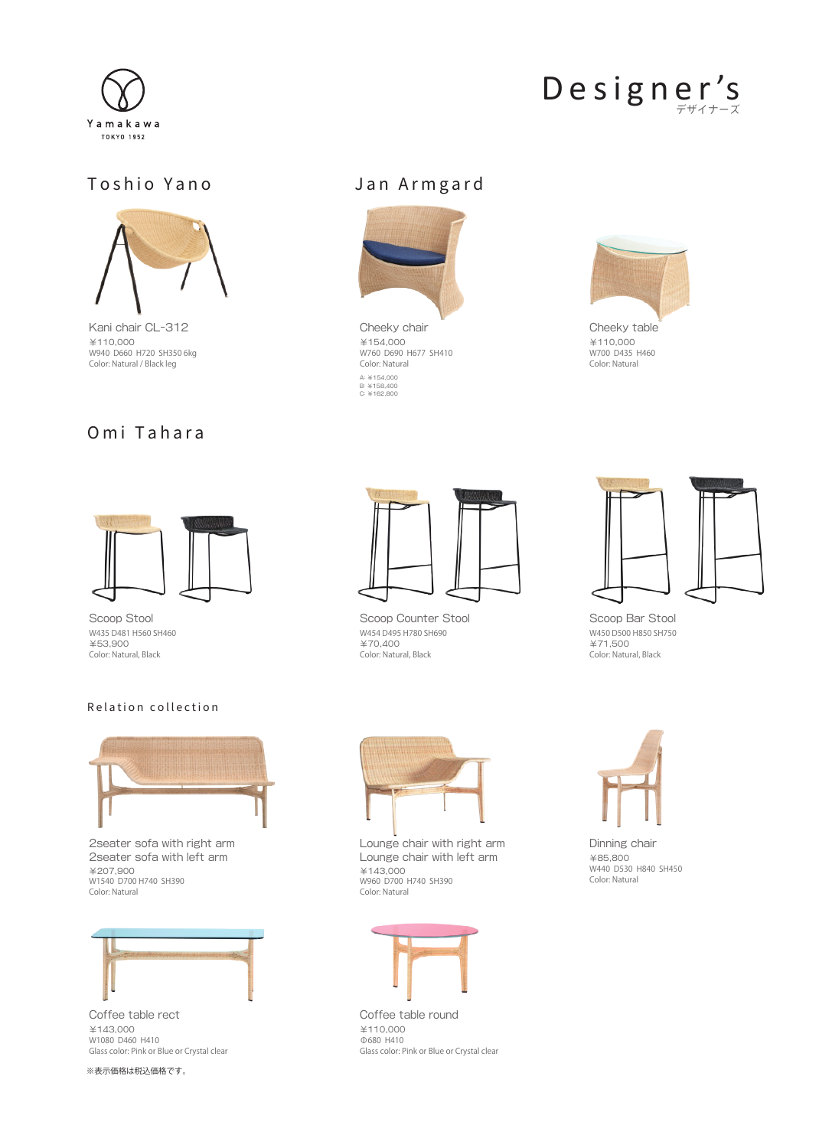

## Designer's

## Toshio Yano San Armgard



Kani chair CL-312 ¥110,000 W940 D660 H720 SH350 6kg Color: Natural / Black leg

## Omi Tahara



¥154,000 W760 D690 H677 SH410 Color: Natural A: ¥154,000 B: ¥158,400 C: ¥162,800



Cheeky table ¥110,000 W700 D435 H460 Color: Natural



Scoop Stool W435 D481 H560 SH460 ¥53,900 Color: Natural, Black

### Relation collection



2seater sofa with right arm 2seater sofa with left arm ¥207,900 W1540 D700 H740 SH390 Color: Natural



Coffee table rect ¥143,000 W1080 D460 H410 Glass color: Pink or Blue or Crystal clear

※表示価格は税込価格です。



Scoop Counter Stool W454 D495 H780 SH690 ¥70,400 Color: Natural, Black



Scoop Bar Stool W450 D500 H850 SH750 ¥71,500 Color: Natural, Black



Lounge chair with right arm Lounge chair with left arm ¥143,000 W960 D700 H740 SH390 Color: Natural



Coffee table round ¥110,000 Φ680 H410 Glass color: Pink or Blue or Crystal clear



Dinning chair ¥85,800 W440 D530 H840 SH450 Color: Natural